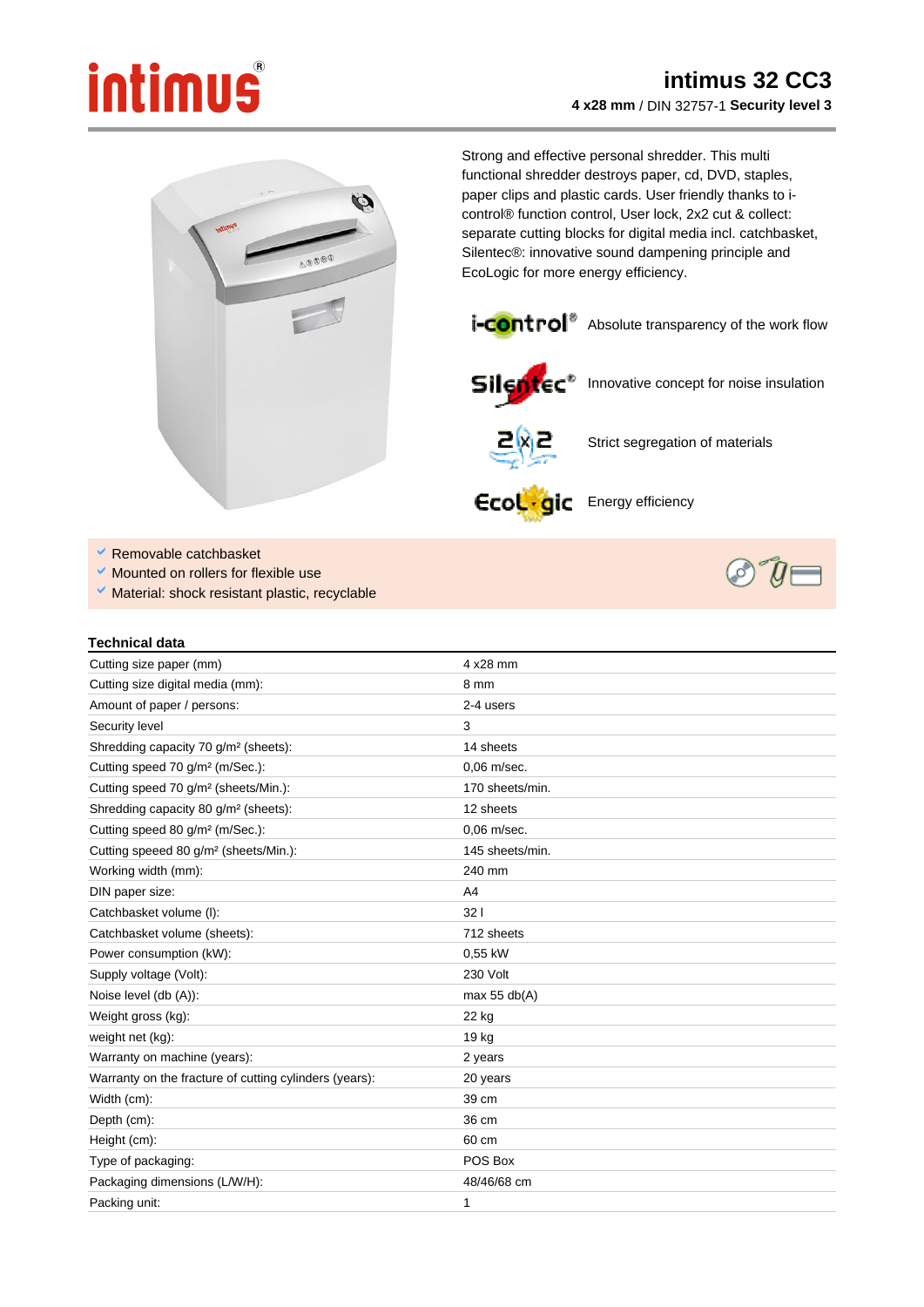## intimus



Strong and effective personal shredder. This multi functional shredder destroys paper, cd, DVD, staples, paper clips and plastic cards. User friendly thanks to icontrol® function control, User lock, 2x2 cut & collect: separate cutting blocks for digital media incl. catchbasket, Silentec®: innovative sound dampening principle and EcoLogic for more energy efficiency.





Silentec<sup>\*</sup> Innovative concept for noise insulation



Strict segregation of materials

Ecol . gic Energy efficiency

- Removable catchbasket
- Mounted on rollers for flexible use
- V Material: shock resistant plastic, recyclable



## **Technical data**

| Cutting size paper (mm)                                | 4 x28 mm        |
|--------------------------------------------------------|-----------------|
| Cutting size digital media (mm):                       | 8 mm            |
| Amount of paper / persons:                             | 2-4 users       |
| Security level                                         | 3               |
| Shredding capacity 70 g/m <sup>2</sup> (sheets):       | 14 sheets       |
| Cutting speed 70 g/m <sup>2</sup> (m/Sec.):            | 0.06 m/sec.     |
| Cutting speed 70 g/m <sup>2</sup> (sheets/Min.):       | 170 sheets/min. |
| Shredding capacity 80 g/m <sup>2</sup> (sheets):       | 12 sheets       |
| Cutting speed 80 g/m <sup>2</sup> (m/Sec.):            | 0.06 m/sec.     |
| Cutting speeed 80 g/m <sup>2</sup> (sheets/Min.):      | 145 sheets/min. |
| Working width (mm):                                    | 240 mm          |
| DIN paper size:                                        | A4              |
| Catchbasket volume (I):                                | 321             |
| Catchbasket volume (sheets):                           | 712 sheets      |
| Power consumption (kW):                                | 0,55 kW         |
| Supply voltage (Volt):                                 | 230 Volt        |
| Noise level (db (A)):                                  | max 55 $db(A)$  |
| Weight gross (kg):                                     | 22 kg           |
| weight net (kg):                                       | 19 kg           |
| Warranty on machine (years):                           | 2 years         |
| Warranty on the fracture of cutting cylinders (years): | 20 years        |
| Width (cm):                                            | 39 cm           |
| Depth (cm):                                            | 36 cm           |
| Height (cm):                                           | 60 cm           |
| Type of packaging:                                     | POS Box         |
| Packaging dimensions (L/W/H):                          | 48/46/68 cm     |
| Packing unit:                                          | 1               |